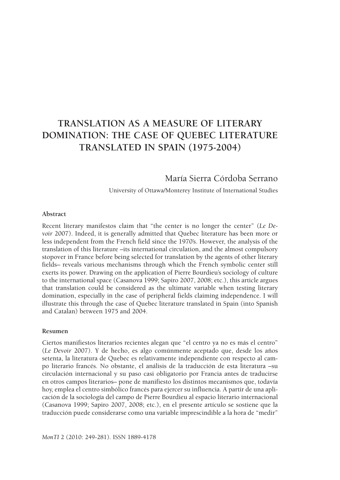# **Translation as a Measure of Literary Domination: The Case of Quebec Literature Translated in Spain (1975-2004)**

# María Sierra Córdoba Serrano

University of Ottawa/Monterey Institute of International Studies

#### **Abstract**

Recent literary manifestos claim that "the center is no longer the center" (*Le Devoir* 2007). Indeed, it is generally admitted that Quebec literature has been more or less independent from the French field since the 1970's. However, the analysis of the translation of this literature –its international circulation, and the almost compulsory stopover in France before being selected for translation by the agents of other literary fields– reveals various mechanisms through which the French symbolic center still exerts its power. Drawing on the application of Pierre Bourdieu's sociology of culture to the international space (Casanova 1999; Sapiro 2007, 2008; etc.), this article argues that translation could be considered as the ultimate variable when testing literary domination, especially in the case of peripheral fields claiming independence. I will illustrate this through the case of Quebec literature translated in Spain (into Spanish and Catalan) between 1975 and 2004.

#### **Resumen**

Ciertos manifiestos literarios recientes alegan que "el centro ya no es más el centro" (*Le Devoir* 2007). Y de hecho, es algo comúnmente aceptado que, desde los años setenta, la literatura de Quebec es relativamente independiente con respecto al campo literario francés. No obstante, el análisis de la traducción de esta literatura –su circulación internacional y su paso casi obligatorio por Francia antes de traducirse en otros campos literarios– pone de manifiesto los distintos mecanismos que, todavía hoy, emplea el centro simbólico francés para ejercer su influencia. A partir de una aplicación de la sociología del campo de Pierre Bourdieu al espacio literario internacional (Casanova 1999; Sapiro 2007, 2008; etc.), en el presente artículo se sostiene que la traducción puede considerarse como una variable imprescindible a la hora de "medir"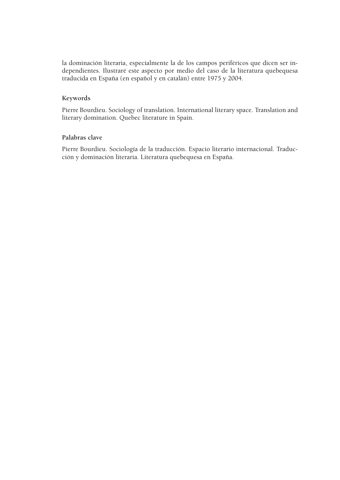la dominación literaria, especialmente la de los campos periféricos que dicen ser independientes. Ilustraré este aspecto por medio del caso de la literatura quebequesa traducida en España (en español y en catalán) entre 1975 y 2004.

### **Keywords**

Pierre Bourdieu. Sociology of translation. International literary space. Translation and literary domination. Quebec literature in Spain.

### **Palabras clave**

Pierre Bourdieu. Sociología de la traducción. Espacio literario internacional. Traducción y dominación literaria. Literatura quebequesa en España.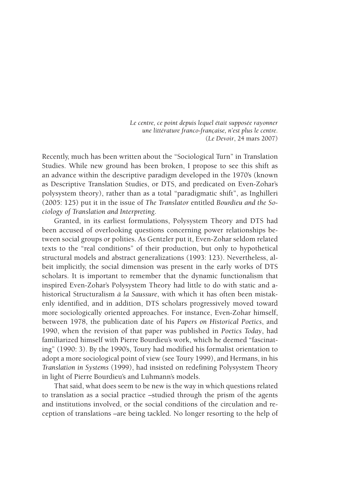*Le centre, ce point depuis lequel était supposée rayonner une littérature franco-française, n'est plus le centre.* (*Le Devoir*, 24 mars 2007)

Recently, much has been written about the "Sociological Turn" in Translation Studies. While new ground has been broken, I propose to see this shift as an advance within the descriptive paradigm developed in the 1970's (known as Descriptive Translation Studies, or DTS, and predicated on Even-Zohar's polysystem theory), rather than as a total "paradigmatic shift", as Inghilleri (2005: 125) put it in the issue of *The Translator* entitled *Bourdieu and the Sociology of Translation and Interpreting*.

Granted, in its earliest formulations, Polysystem Theory and DTS had been accused of overlooking questions concerning power relationships between social groups or polities. As Gentzler put it, Even-Zohar seldom related texts to the "real conditions" of their production, but only to hypothetical structural models and abstract generalizations (1993: 123). Nevertheless, albeit implicitly, the social dimension was present in the early works of DTS scholars. It is important to remember that the dynamic functionalism that inspired Even-Zohar's Polysystem Theory had little to do with static and ahistorical Structuralism *à la Saussure*, with which it has often been mistakenly identified, and in addition, DTS scholars progressively moved toward more sociologically oriented approaches. For instance, Even-Zohar himself, between 1978, the publication date of his *Papers on Historical Poetics*, and 1990, when the revision of that paper was published in *Poetics Today*, had familiarized himself with Pierre Bourdieu's work, which he deemed "fascinating" (1990: 3). By the 1990's, Toury had modified his formalist orientation to adopt a more sociological point of view (see Toury 1999), and Hermans, in his *Translation in Systems* (1999), had insisted on redefining Polysystem Theory in light of Pierre Bourdieu's and Luhmann's models.

That said, what does seem to be new is the way in which questions related to translation as a social practice –studied through the prism of the agents and institutions involved, or the social conditions of the circulation and reception of translations –are being tackled. No longer resorting to the help of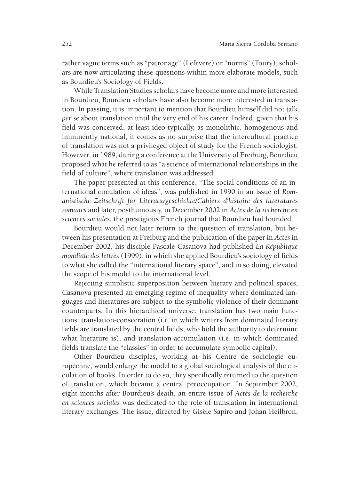rather vague terms such as "patronage" (Lefevere) or "norms" (Toury), scholars are now articulating these questions within more elaborate models, such as Bourdieu's Sociology of Fields.

While Translation Studies scholars have become more and more interested in Bourdieu, Bourdieu scholars have also become more interested in translation. In passing, it is important to mention that Bourdieu himself did not talk *per se* about translation until the very end of his career. Indeed, given that his field was conceived, at least ideo-typically, as monolithic, homogenous and imminently national, it comes as no surprise that the intercultural practice of translation was not a privileged object of study for the French sociologist. However, in 1989, during a conference at the University of Freiburg, Bourdieu proposed what he referred to as "a science of international relationships in the field of culture", where translation was addressed.

The paper presented at this conference, "The social conditions of an international circulation of ideas", was published in 1990 in an issue of *Romanistische Zeitschrift für Literaturgeschichte/Cahiers d'histoire des littératures romanes* and later, posthumously, in December 2002 in *Actes de la recherche en sciences sociales*, the prestigious French journal that Bourdieu had founded.

Bourdieu would not later return to the question of translation, but between his presentation at Freiburg and the publication of the paper in *Actes* in December 2002, his disciple Pascale Casanova had published *La République mondiale des lettres* (1999), in which she applied Bourdieu's sociology of fields to what she called the "international literary space", and in so doing, elevated the scope of his model to the international level.

Rejecting simplistic superposition between literary and political spaces, Casanova presented an emerging regime of inequality where dominated languages and literatures are subject to the symbolic violence of their dominant counterparts. In this hierarchical universe, translation has two main functions: translation-consecration (i.e. in which writers from dominated literary fields are translated by the central fields, who hold the authority to determine what literature is), and translation-accumulation (i.e. in which dominated fields translate the "classics" in order to accumulate symbolic capital).

Other Bourdieu disciples, working at his Centre de sociologie européenne, would enlarge the model to a global sociological analysis of the circulation of books. In order to do so, they specifically returned to the question of translation, which became a central preoccupation. In September 2002, eight months after Bourdieu's death, an entire issue of *Actes de la recherche en sciences sociales* was dedicated to the role of translation in international literary exchanges. The issue, directed by Gisèle Sapiro and Johan Heilbron,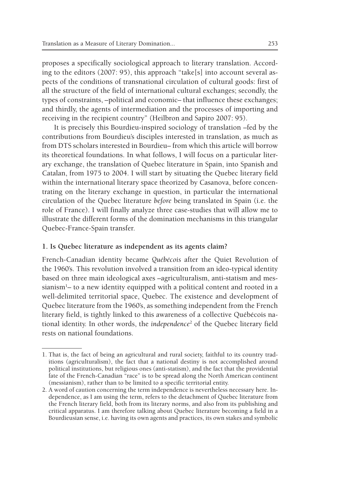proposes a specifically sociological approach to literary translation. According to the editors (2007: 95), this approach "take[s] into account several aspects of the conditions of transnational circulation of cultural goods: first of all the structure of the field of international cultural exchanges; secondly, the types of constraints, –political and economic– that influence these exchanges; and thirdly, the agents of intermediation and the processes of importing and receiving in the recipient country" (Heilbron and Sapiro 2007: 95).

It is precisely this Bourdieu-inspired sociology of translation –fed by the contributions from Bourdieu's disciples interested in translation, as much as from DTS scholars interested in Bourdieu– from which this article will borrow its theoretical foundations. In what follows, I will focus on a particular literary exchange, the translation of Quebec literature in Spain, into Spanish and Catalan, from 1975 to 2004. I will start by situating the Quebec literary field within the international literary space theorized by Casanova, before concentrating on the literary exchange in question, in particular the international circulation of the Quebec literature *before* being translated in Spain (i.e. the role of France). I will finally analyze three case-studies that will allow me to illustrate the different forms of the domination mechanisms in this triangular Quebec-France-Spain transfer.

### **1. Is Quebec literature as independent as its agents claim?**

French-Canadian identity became *Québécois* after the Quiet Revolution of the 1960's. This revolution involved a transition from an ideo-typical identity based on three main ideological axes –agriculturalism, anti-statism and messianism<sup>1</sup> – to a new identity equipped with a political content and rooted in a well-delimited territorial space, Quebec. The existence and development of Quebec literature from the 1960's, as something independent from the French literary field, is tightly linked to this awareness of a collective Québécois national identity. In other words, the *independence*<sup>2</sup> of the Quebec literary field rests on national foundations.

<sup>1.</sup> That is, the fact of being an agricultural and rural society, faithful to its country traditions (agriculturalism), the fact that a national destiny is not accomplished around political institutions, but religious ones (anti-statism), and the fact that the providential fate of the French-Canadian "race" is to be spread along the North American continent (messianism), rather than to be limited to a specific territorial entity.

<sup>2.</sup> A word of caution concerning the term independence is nevertheless necessary here. Independence, as I am using the term, refers to the detachment of Quebec literature from the French literary field, both from its literary norms, and also from its publishing and critical apparatus. I am therefore talking about Quebec literature becoming a field in a Bourdieusian sense, i.e. having its own agents and practices, its own stakes and symbolic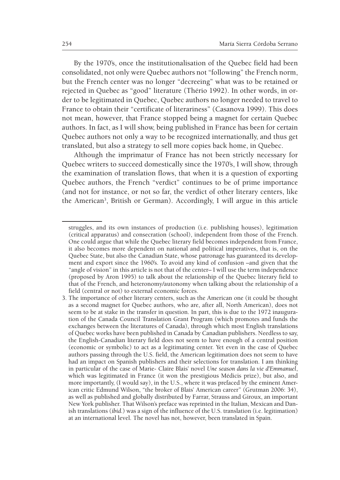By the 1970's, once the institutionalisation of the Quebec field had been consolidated, not only were Quebec authors not "following" the French norm, but the French center was no longer "decreeing" what was to be retained or rejected in Quebec as "good" literature (Thério 1992). In other words, in order to be legitimated in Quebec, Quebec authors no longer needed to travel to France to obtain their "certificate of literariness" (Casanova 1999). This does not mean, however, that France stopped being a magnet for certain Quebec authors. In fact, as I will show, being published in France has been for certain Quebec authors not only a way to be recognized internationally, and thus get translated, but also a strategy to sell more copies back home, in Quebec.

Although the imprimatur of France has not been strictly necessary for Quebec writers to succeed domestically since the 1970's, I will show, through the examination of translation flows, that when it is a question of exporting Quebec authors, the French "verdict" continues to be of prime importance (and not for instance, or not so far, the verdict of other literary centers, like the American<sup>3</sup>, British or German). Accordingly, I will argue in this article

struggles, and its own instances of production (i.e. publishing houses), legitimation (critical apparatus) and consecration (school), independent from those of the French. One could argue that while the Quebec literary field becomes independent from France, it also becomes more dependent on national and political imperatives, that is, on the Quebec State, but also the Canadian State, whose patronage has guaranteed its development and export since the 1960's. To avoid any kind of confusion –and given that the "angle of vision" in this article is not that of the center– I will use the term independence (proposed by Aron 1995) to talk about the relationship of the Quebec literary field to that of the French, and heteronomy/autonomy when talking about the relationship of a field (central or not) to external economic forces.

<sup>3.</sup> The importance of other literary centers, such as the American one (it could be thought as a second magnet for Quebec authors, who are, after all, North American), does not seem to be at stake in the transfer in question. In part, this is due to the 1972 inauguration of the Canada Council Translation Grant Program (which promotes and funds the exchanges between the literatures of Canada), through which most English translations of Quebec works have been published in Canada by Canadian publishers. Needless to say, the English-Canadian literary field does not seem to have enough of a central position (economic or symbolic) to act as a legitimating center. Yet even in the case of Quebec authors passing through the U.S. field, the American legitimation does not seem to have had an impact on Spanish publishers and their selections for translation. I am thinking in particular of the case of Marie- Claire Blais' novel *Une season dans la vie d'Emmanuel*, which was legitimated in France (it won the prestigious Médicis prize), but also, and more importantly, (I would say), in the U.S., where it was prefaced by the eminent American critic Edmund Wilson, "the broker of Blais' American career" (Grutman 2006: 34), as well as published and globally distributed by Farrar, Strauss and Giroux, an important New York publisher. That Wilson's preface was reprinted in the Italian, Mexican and Danish translations (*ibid.*) was a sign of the influence of the U.S. translation (i.e. legitimation) at an international level. The novel has not, however, been translated in Spain.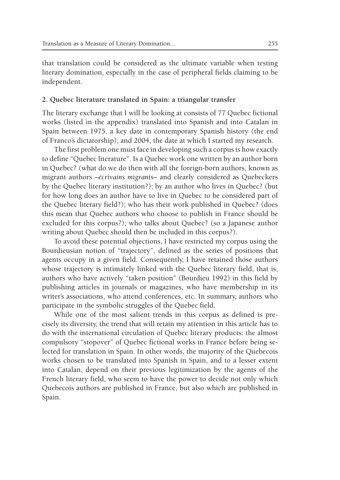that translation could be considered as the ultimate variable when testing literary domination, especially in the case of peripheral fields claiming to be independent.

### **2. Quebec literature translated in Spain: a triangular transfer**

The literary exchange that I will be looking at consists of 77 Quebec fictional works (listed in the appendix) translated into Spanish and into Catalan in Spain between 1975, a key date in contemporary Spanish history (the end of Franco's dictatorship), and 2004, the date at which I started my research.

The first problem one must face in developing such a corpus is how exactly to define "Quebec literature". Is a Quebec work one written by an author born in Quebec? (what do we do then with all the foreign-born authors, known as migrant authors –*écrivains migrants*– and clearly considered as Quebeckers by the Quebec literary institution?); by an author who lives in Quebec? (but for how long does an author have to live in Quebec to be considered part of the Quebec literary field?); who has their work published in Quebec? (does this mean that Quebec authors who choose to publish in France should be excluded for this corpus?); who talks about Quebec? (so a Japanese author writing about Quebec should then be included in this corpus?).

To avoid these potential objections, I have restricted my corpus using the Bourdieusian notion of "trajectory", defined as the series of positions that agents occupy in a given field. Consequently, I have retained those authors whose trajectory is intimately linked with the Quebec literary field, that is, authors who have actively "taken position" (Bourdieu 1992) in this field by publishing articles in journals or magazines, who have membership in its writer's associations, who attend conferences, etc. In summary, authors who participate in the symbolic struggles of the Quebec field.

While one of the most salient trends in this corpus as defined is precisely its diversity, the trend that will retain my attention in this article has to do with the international circulation of Quebec literary products: the almost compulsory "stopover" of Quebec fictional works in France before being selected for translation in Spain. In other words, the majority of the Quebecois works chosen to be translated into Spanish in Spain, and to a lesser extent into Catalan, depend on their previous legitimization by the agents of the French literary field, who seem to have the power to decide not only which Quebecois authors are published in France, but also which are published in Spain.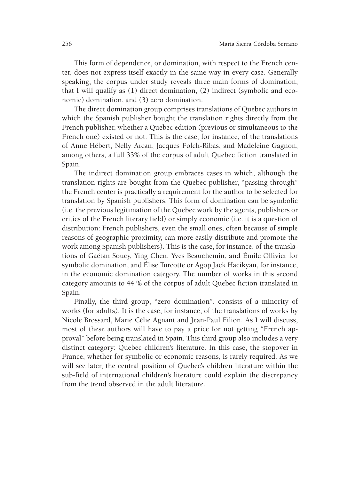This form of dependence, or domination, with respect to the French center, does not express itself exactly in the same way in every case. Generally speaking, the corpus under study reveals three main forms of domination, that I will qualify as (1) direct domination, (2) indirect (symbolic and economic) domination, and (3) zero domination.

The direct domination group comprises translations of Quebec authors in which the Spanish publisher bought the translation rights directly from the French publisher, whether a Quebec edition (previous or simultaneous to the French one) existed or not. This is the case, for instance, of the translations of Anne Hébert, Nelly Arcan, Jacques Folch-Ribas, and Madeleine Gagnon, among others, a full 33% of the corpus of adult Quebec fiction translated in Spain.

The indirect domination group embraces cases in which, although the translation rights are bought from the Quebec publisher, "passing through" the French center is practically a requirement for the author to be selected for translation by Spanish publishers. This form of domination can be symbolic (i.e. the previous legitimation of the Quebec work by the agents, publishers or critics of the French literary field) or simply economic (i.e. it is a question of distribution: French publishers, even the small ones, often because of simple reasons of geographic proximity, can more easily distribute and promote the work among Spanish publishers). This is the case, for instance, of the translations of Gaétan Soucy, Ying Chen, Yves Beauchemin, and Émile Ollivier for symbolic domination, and Élise Turcotte or Agop Jack Hacikyan, for instance, in the economic domination category. The number of works in this second category amounts to 44 % of the corpus of adult Quebec fiction translated in Spain.

Finally, the third group, "zero domination", consists of a minority of works (for adults). It is the case, for instance, of the translations of works by Nicole Brossard, Marie Célie Agnant and Jean-Paul Filion. As I will discuss, most of these authors will have to pay a price for not getting "French approval" before being translated in Spain. This third group also includes a very distinct category: Quebec children's literature. In this case, the stopover in France, whether for symbolic or economic reasons, is rarely required. As we will see later, the central position of Quebec's children literature within the sub-field of international children's literature could explain the discrepancy from the trend observed in the adult literature.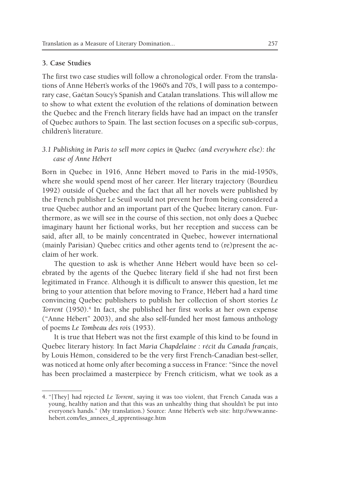### **3. Case Studies**

The first two case studies will follow a chronological order. From the translations of Anne Hébert's works of the 1960's and 70's, I will pass to a contemporary case, Gaétan Soucy's Spanish and Catalan translations. This will allow me to show to what extent the evolution of the relations of domination between the Quebec and the French literary fields have had an impact on the transfer of Quebec authors to Spain. The last section focuses on a specific sub-corpus, children's literature.

## *3.1 Publishing in Paris to sell more copies in Quebec (and everywhere else): the case of Anne Hébert*

Born in Quebec in 1916, Anne Hébert moved to Paris in the mid-1950's, where she would spend most of her career. Her literary trajectory (Bourdieu 1992) outside of Quebec and the fact that all her novels were published by the French publisher Le Seuil would not prevent her from being considered a true Quebec author and an important part of the Quebec literary canon. Furthermore, as we will see in the course of this section, not only does a Quebec imaginary haunt her fictional works, but her reception and success can be said, after all, to be mainly concentrated in Quebec, however international (mainly Parisian) Quebec critics and other agents tend to (re)present the acclaim of her work.

The question to ask is whether Anne Hébert would have been so celebrated by the agents of the Quebec literary field if she had not first been legitimated in France. Although it is difficult to answer this question, let me bring to your attention that before moving to France, Hébert had a hard time convincing Quebec publishers to publish her collection of short stories *Le*  Torrent (1950).<sup>4</sup> In fact, she published her first works at her own expense ("Anne Hébert" 2003), and she also self-funded her most famous anthology of poems *Le Tombeau des rois* (1953).

It is true that Hebert was not the first example of this kind to be found in Quebec literary history. In fact *Maria Chapdelaine : récit du Canada français*, by Louis Hémon, considered to be the very first French-Canadian best-seller, was noticed at home only after becoming a success in France: "Since the novel has been proclaimed a masterpiece by French criticism, what we took as a

<sup>4. &</sup>quot;[They] had rejected *Le Torrent*, saying it was too violent, that French Canada was a young, healthy nation and that this was an unhealthy thing that shouldn't be put into everyone's hands." (My translation.) Source: Anne Hébert's web site: http://www.annehebert.com/les\_annees\_d\_apprentissage.htm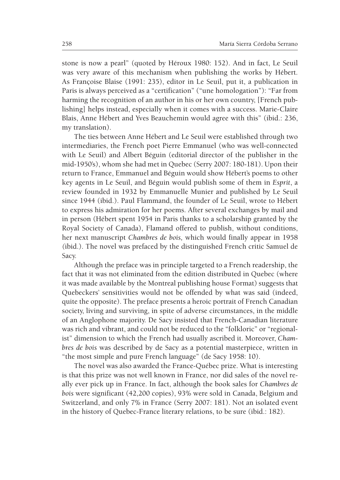stone is now a pearl" (quoted by Héroux 1980: 152). And in fact, Le Seuil was very aware of this mechanism when publishing the works by Hébert. As Françoise Blaise (1991: 235), editor in Le Seuil, put it, a publication in Paris is always perceived as a "certification" ("une homologation"): "Far from harming the recognition of an author in his or her own country, [French publishing] helps instead, especially when it comes with a success. Marie-Claire Blais, Anne Hébert and Yves Beauchemin would agree with this" (ibid.: 236, my translation).

The ties between Anne Hébert and Le Seuil were established through two intermediaries, the French poet Pierre Emmanuel (who was well-connected with Le Seuil) and Albert Béguin (editorial director of the publisher in the mid-1950's), whom she had met in Quebec (Serry 2007: 180-181). Upon their return to France, Emmanuel and Béguin would show Hébert's poems to other key agents in Le Seuil, and Béguin would publish some of them in *Esprit*, a review founded in 1932 by Emmanuelle Munier and published by Le Seuil since 1944 (ibid.). Paul Flammand, the founder of Le Seuil, wrote to Hébert to express his admiration for her poems. After several exchanges by mail and in person (Hébert spent 1954 in Paris thanks to a scholarship granted by the Royal Society of Canada), Flamand offered to publish, without conditions, her next manuscript *Chambres de bois,* which would finally appear in 1958 *(*ibid.). The novel was prefaced by the distinguished French critic Samuel de Sacy.

Although the preface was in principle targeted to a French readership, the fact that it was not eliminated from the edition distributed in Quebec (where it was made available by the Montreal publishing house Format) suggests that Quebeckers' sensitivities would not be offended by what was said (indeed, quite the opposite). The preface presents a heroic portrait of French Canadian society, living and surviving, in spite of adverse circumstances, in the middle of an Anglophone majority. De Sacy insisted that French-Canadian literature was rich and vibrant, and could not be reduced to the "folkloric" or "regionalist" dimension to which the French had usually ascribed it. Moreover, *Chambres de bois* was described by de Sacy as a potential masterpiece, written in "the most simple and pure French language" (de Sacy 1958: 10).

The novel was also awarded the France-Québec prize. What is interesting is that this prize was not well known in France, nor did sales of the novel really ever pick up in France. In fact, although the book sales for *Chambres de bois* were significant (42,200 copies), 93% were sold in Canada, Belgium and Switzerland, and only 7% in France (Serry 2007: 181). Not an isolated event in the history of Quebec-France literary relations, to be sure (ibid.: 182).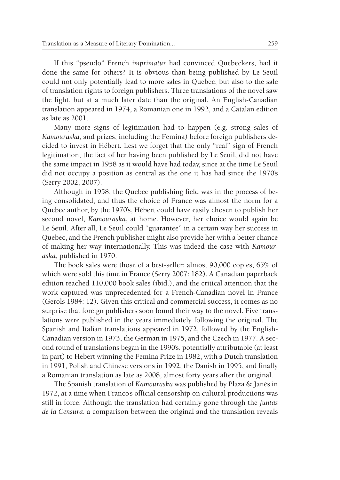If this "pseudo" French *imprimatur* had convinced Quebeckers, had it done the same for others? It is obvious than being published by Le Seuil could not only potentially lead to more sales in Quebec, but also to the sale of translation rights to foreign publishers. Three translations of the novel saw the light, but at a much later date than the original. An English-Canadian translation appeared in 1974, a Romanian one in 1992, and a Catalan edition as late as 2001.

Many more signs of legitimation had to happen (e.g. strong sales of *Kamouraska*, and prizes, including the Femina) before foreign publishers decided to invest in Hébert. Lest we forget that the only "real" sign of French legitimation, the fact of her having been published by Le Seuil, did not have the same impact in 1958 as it would have had today, since at the time Le Seuil did not occupy a position as central as the one it has had since the 1970's (Serry 2002, 2007).

Although in 1958, the Quebec publishing field was in the process of being consolidated, and thus the choice of France was almost the norm for a Quebec author, by the 1970's, Hébert could have easily chosen to publish her second novel, *Kamouraska*, at home. However, her choice would again be Le Seuil. After all, Le Seuil could "guarantee" in a certain way her success in Quebec, and the French publisher might also provide her with a better chance of making her way internationally. This was indeed the case with *Kamouraska*, published in 1970.

The book sales were those of a best-seller: almost 90,000 copies, 65% of which were sold this time in France (Serry 2007: 182). A Canadian paperback edition reached 110,000 book sales (ibid.), and the critical attention that the work captured was unprecedented for a French-Canadian novel in France (Gerols 1984: 12). Given this critical and commercial success, it comes as no surprise that foreign publishers soon found their way to the novel. Five translations were published in the years immediately following the original. The Spanish and Italian translations appeared in 1972, followed by the English-Canadian version in 1973, the German in 1975, and the Czech in 1977. A second round of translations began in the 1990's, potentially attributable (at least in part) to Hebert winning the Femina Prize in 1982, with a Dutch translation in 1991, Polish and Chinese versions in 1992, the Danish in 1995, and finally a Romanian translation as late as 2008, almost forty years after the original.

The Spanish translation of *Kamouraska* was published by Plaza & Janés in 1972, at a time when Franco's official censorship on cultural productions was still in force. Although the translation had certainly gone through the *Juntas de la Censura*, a comparison between the original and the translation reveals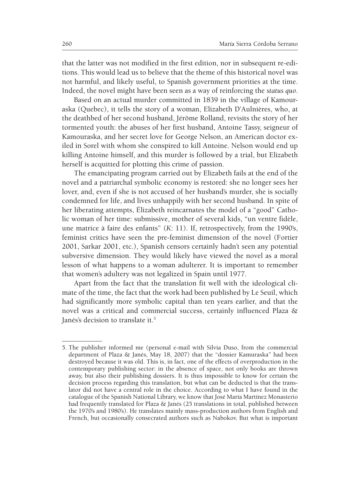that the latter was not modified in the first edition, nor in subsequent re-editions. This would lead us to believe that the theme of this historical novel was not harmful, and likely useful, to Spanish government priorities at the time. Indeed, the novel might have been seen as a way of reinforcing the *status quo*.

Based on an actual murder committed in 1839 in the village of Kamouraska (Quebec), it tells the story of a woman, Elizabeth D'Aulnières, who, at the deathbed of her second husband, Jérôme Rolland, revisits the story of her tormented youth: the abuses of her first husband, Antoine Tassy, seigneur of Kamouraska, and her secret love for George Nelson, an American doctor exiled in Sorel with whom she conspired to kill Antoine. Nelson would end up killing Antoine himself, and this murder is followed by a trial, but Elizabeth herself is acquitted for plotting this crime of passion.

The emancipating program carried out by Elizabeth fails at the end of the novel and a patriarchal symbolic economy is restored: she no longer sees her lover, and, even if she is not accused of her husband's murder, she is socially condemned for life, and lives unhappily with her second husband. In spite of her liberating attempts, Élizabeth reincarnates the model of a "good" Catholic woman of her time: submissive, mother of several kids, "un ventre fidèle, une matrice à faire des enfants" (*K*: 11). If, retrospectively, from the 1990's, feminist critics have seen the pre-feminist dimension of the novel (Fortier 2001, Sarkar 2001, etc.), Spanish censors certainly hadn't seen any potential subversive dimension. They would likely have viewed the novel as a moral lesson of what happens to a woman adulterer. It is important to remember that women's adultery was not legalized in Spain until 1977.

Apart from the fact that the translation fit well with the ideological climate of the time, the fact that the work had been published by Le Seuil, which had significantly more symbolic capital than ten years earlier, and that the novel was a critical and commercial success, certainly influenced Plaza & Janés's decision to translate it.<sup>5</sup>

<sup>5.</sup> The publisher informed me (personal e-mail with Silvia Duso, from the commercial department of Plaza & Janés, May 18, 2007) that the "dossier Kamuraska" had been destroyed because it was old. This is, in fact, one of the effects of overproduction in the contemporary publishing sector: in the absence of space, not only books are thrown away, but also their publishing dossiers. It is thus impossible to know for certain the decision process regarding this translation, but what can be deducted is that the translator did not have a central role in the choice. According to what I have found in the catalogue of the Spanish National Library, we know that José María Martínez Monasterio had frequently translated for Plaza & Janés (25 translations in total, published between the 1970's and 1980's). He translates mainly mass-production authors from English and French, but occasionally consecrated authors such as Nabokov. But what is important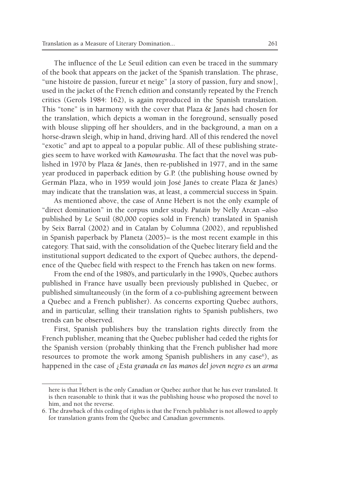The influence of the Le Seuil edition can even be traced in the summary of the book that appears on the jacket of the Spanish translation. The phrase, "une histoire de passion, fureur et neige" [a story of passion, fury and snow], used in the jacket of the French edition and constantly repeated by the French critics (Gerols 1984: 162), is again reproduced in the Spanish translation. This "tone" is in harmony with the cover that Plaza & Janés had chosen for the translation, which depicts a woman in the foreground, sensually posed with blouse slipping off her shoulders, and in the background, a man on a horse-drawn sleigh, whip in hand, driving hard. All of this rendered the novel "exotic" and apt to appeal to a popular public. All of these publishing strategies seem to have worked with *Kamouraska*. The fact that the novel was published in 1970 by Plaza & Janés, then re-published in 1977, and in the same year produced in paperback edition by G.P. (the publishing house owned by Germán Plaza, who in 1959 would join José Janés to create Plaza & Janés) may indicate that the translation was, at least, a commercial success in Spain.

As mentioned above, the case of Anne Hébert is not the only example of "direct domination" in the corpus under study. *Putain* by Nelly Arcan –also published by Le Seuil (80,000 copies sold in French) translated in Spanish by Seix Barral (2002) and in Catalan by Columna (2002), and republished in Spanish paperback by Planeta (2005)– is the most recent example in this category. That said, with the consolidation of the Quebec literary field and the institutional support dedicated to the export of Quebec authors, the dependence of the Quebec field with respect to the French has taken on new forms.

From the end of the 1980's, and particularly in the 1990's, Quebec authors published in France have usually been previously published in Quebec, or published simultaneously (in the form of a co-publishing agreement between a Quebec and a French publisher). As concerns exporting Quebec authors, and in particular, selling their translation rights to Spanish publishers, two trends can be observed.

First, Spanish publishers buy the translation rights directly from the French publisher, meaning that the Quebec publisher had ceded the rights for the Spanish version (probably thinking that the French publisher had more resources to promote the work among Spanish publishers in any case<sup>6</sup>), as happened in the case of ¿*Esta granada en las manos del joven negro es un arma* 

here is that Hébert is the only Canadian or Quebec author that he has ever translated. It is then reasonable to think that it was the publishing house who proposed the novel to him, and not the reverse.

<sup>6.</sup> The drawback of this ceding of rights is that the French publisher is not allowed to apply for translation grants from the Quebec and Canadian governments.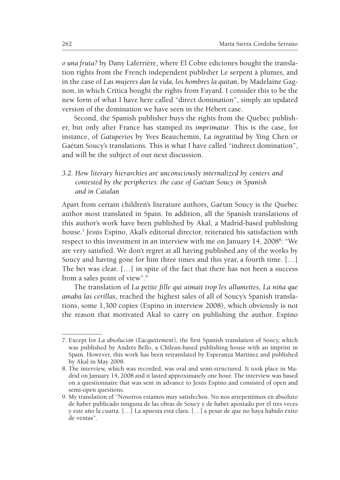*o una fruta?* by Dany Laferrière, where El Cobre ediciones bought the translation rights from the French independent publisher Le serpent à plumes, and in the case of *Las mujeres dan la vida, los hombres la quitan*, by Madelaine Gagnon, in which Crítica bought the rights from Fayard. I consider this to be the new form of what I have here called "direct domination", simply an updated version of the domination we have seen in the Hébert case.

Second, the Spanish publisher buys the rights from the Quebec publisher, but only after France has stamped its *imprimatur*. This is the case, for instance, of *Gatuperios* by Yves Beauchemin, *La ingratitud* by Ying Chen or Gaétan Soucy's translations. This is what I have called "indirect domination", and will be the subject of our next discussion.

# *3.2. How literary hierarchies are unconsciously internalized by centers and contested by the peripheries: the case of Gaétan Soucy in Spanish and in Catalan*

Apart from certain children's literature authors, Gaétan Soucy is the Quebec author most translated in Spain. In addition, all the Spanish translations of this author's work have been published by Akal, a Madrid-based publishing house.7 Jesús Espino, Akal's editorial director, reiterated his satisfaction with respect to this investment in an interview with me on January 14, 2008<sup>8</sup>: "We are very satisfied. We don't regret at all having published any of the works by Soucy and having gone for him three times and this year, a fourth time. […] The bet was clear. […] in spite of the fact that there has not been a success from a sales point of view".9

The translation of *La petite fille qui aimait trop les allumettes*, *La niña que amaba las cerillas*, reached the highest sales of all of Soucy's Spanish translations, some 1,300 copies (Espino in interview 2008), which obviously is not the reason that motivated Akal to carry on publishing the author. Espino

<sup>7.</sup> Except for *La absolución* (*L'acquittement*), the first Spanish translation of Soucy, which was published by Andrés Bello, a Chilean-based publishing house with an imprint in Spain. However, this work has been retranslated by Esperanza Martínez and published by Akal in May 2008.

<sup>8.</sup> The interview, which was recorded, was oral and semi-structured. It took place in Madrid on January 14, 2008 and it lasted approximately one hour. The interview was based on a questionnaire that was sent in advance to Jesús Espino and consisted of open and semi-open questions.

<sup>9.</sup> My translation of "Nosotros estamos muy satisfechos. No nos arrepentimos en absoluto de haber publicado ninguna de las obras de Soucy y de haber apostado por él tres veces y este año la cuarta. […] La apuesta está clara. […] a pesar de que no haya habido éxito de ventas".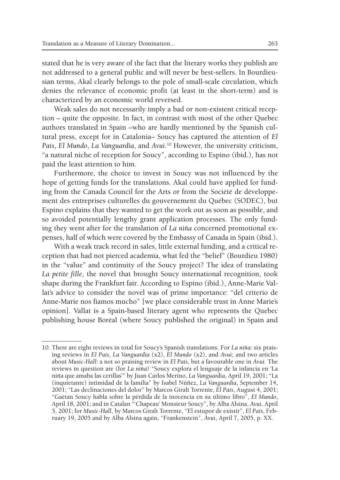stated that he is very aware of the fact that the literary works they publish are not addressed to a general public and will never be best-sellers. In Bourdieusian terms, Akal clearly belongs to the pole of small-scale circulation, which denies the relevance of economic profit (at least in the short-term) and is characterized by an economic world reversed.

Weak sales do not necessarily imply a bad or non-existent critical reception – quite the opposite. In fact, in contrast with most of the other Quebec authors translated in Spain –who are hardly mentioned by the Spanish cultural press, except for in Catalonia– Soucy has captured the attention of *El País*, *El Mundo*, *La Vanguardia*, and *Avui*. 10 However, the university criticism, "a natural niche of reception for Soucy", according to Espino (ibid.), has not paid the least attention to him.

Furthermore, the choice to invest in Soucy was not influenced by the hope of getting funds for the translations. Akal could have applied for funding from the Canada Council for the Arts or from the Société de développement des entreprises culturelles du gouvernement du Québec (SODEC), but Espino explains that they wanted to get the work out as soon as possible, and so avoided potentially lengthy grant application processes. The only funding they went after for the translation of *La niña* concerned promotional expenses, half of which were covered by the Embassy of Canada in Spain (ibid.).

With a weak track record in sales, little external funding, and a critical reception that had not pierced academia, what fed the "belief" (Bourdieu 1980) in the "value" and continuity of the Soucy project? The idea of translating *La petite fille*, the novel that brought Soucy international recognition, took shape during the Frankfurt fair. According to Espino (ibid.), Anne-Marie Vallat's advice to consider the novel was of prime importance: "del criterio de Anne-Marie nos fiamos mucho" [we place considerable trust in Anne Marie's opinion]. Vallat is a Spain-based literary agent who represents the Quebec publishing house Boréal (where Soucy published the original) in Spain and

<sup>10.</sup> There are eight reviews in total for Soucy's Spanish translations. For *La niña*: six praising reviews in *El País*, *La Vanguardia* (x2), *El Mundo* (x2), and *Avui*; and two articles about *Music-Hall*: a not so praising review in *El País*, but a favourable one in *Avui*. The reviews in question are (for *La niña*) "Soucy explora el lenguaje de la infancia en 'La niña que amaba las cerillas'" by Juan Carlos Merino, *La Vanguardia*, April 19, 2001; "La (inquietante) intimidad de la familia" by Isabel Núñez, *La Vanguardia*, September 14, 2001; "Las declinaciones del dolor" by Marcos Giralt Torrente, *El País*, August 4, 2001; "Gaétan Soucy habla sobre la pérdida de la inocencia en su último libro", *El Mundo*, April 18, 2001; and in Catalan "'Chapeau' Monsieur Soucy", by Alba Alsina, *Avui*, April 5, 2001; for *Music-Hall*, by Marcos Giralt Torrente, "El estupor de existir", *El País*, February 19, 2005 and by Alba Alsina again, "Frankenstein", *Avui*, April 7, 2005, p. XX.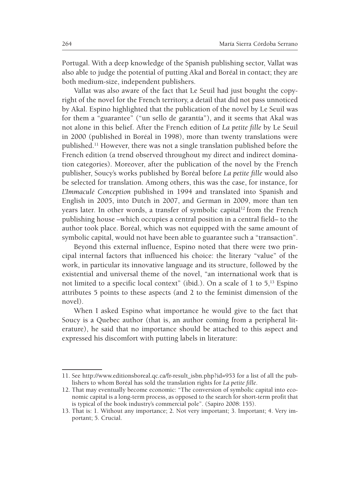Portugal. With a deep knowledge of the Spanish publishing sector, Vallat was also able to judge the potential of putting Akal and Boréal in contact; they are both medium-size, independent publishers.

Vallat was also aware of the fact that Le Seuil had just bought the copyright of the novel for the French territory, a detail that did not pass unnoticed by Akal. Espino highlighted that the publication of the novel by Le Seuil was for them a "guarantee" ("un sello de garantía"), and it seems that Akal was not alone in this belief. After the French edition of *La petite fille* by Le Seuil in 2000 (published in Boréal in 1998), more than twenty translations were published.11 However, there was not a single translation published before the French edition (a trend observed throughout my direct and indirect domination categories). Moreover, after the publication of the novel by the French publisher, Soucy's works published by Boréal before *La petite fille* would also be selected for translation. Among others, this was the case, for instance, for *L'Immaculé Conception* published in 1994 and translated into Spanish and English in 2005, into Dutch in 2007, and German in 2009, more than ten years later. In other words, a transfer of symbolic capital<sup>12</sup> from the French publishing house –which occupies a central position in a central field– to the author took place. Boréal, which was not equipped with the same amount of symbolic capital, would not have been able to guarantee such a "transaction".

Beyond this external influence, Espino noted that there were two principal internal factors that influenced his choice: the literary "value" of the work, in particular its innovative language and its structure, followed by the existential and universal theme of the novel, "an international work that is not limited to a specific local context" (ibid.). On a scale of 1 to  $5<sup>13</sup>$  Espino attributes 5 points to these aspects (and 2 to the feminist dimension of the novel).

When I asked Espino what importance he would give to the fact that Soucy is a Quebec author (that is, an author coming from a peripheral literature), he said that no importance should be attached to this aspect and expressed his discomfort with putting labels in literature:

<sup>11.</sup> See http://www.editionsboreal.qc.ca/fr-result\_isbn.php?id=953 for a list of all the publishers to whom Boréal has sold the translation rights for *La petite fille*.

<sup>12.</sup> That may eventually become economic: "The conversion of symbolic capital into economic capital is a long-term process, as opposed to the search for short-term profit that is typical of the book industry's commercial pole". (Sapiro 2008: 155).

<sup>13.</sup> That is: 1. Without any importance; 2. Not very important; 3. Important; 4. Very important; 5. Crucial.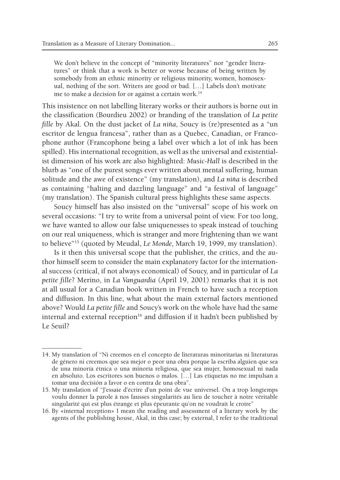We don't believe in the concept of "minority literatures" nor "gender literatures" or think that a work is better or worse because of being written by somebody from an ethnic minority or religious minority, women, homosexual, nothing of the sort. Writers are good or bad. […] Labels don't motivate me to make a decision for or against a certain work.14

This insistence on not labelling literary works or their authors is borne out in the classification (Bourdieu 2002) or branding of the translation of *La petite fille* by Akal. On the dust jacket of *La niña*, Soucy is (re)presented as a "un escritor de lengua francesa", rather than as a Quebec, Canadian, or Francophone author (Francophone being a label over which a lot of ink has been spilled). His international recognition, as well as the universal and existentialist dimension of his work are also highlighted: *Music-Hall* is described in the blurb as "one of the purest songs ever written about mental suffering, human solitude and the awe of existence" (my translation), and *La niña* is described as containing "halting and dazzling language" and "a festival of language" (my translation). The Spanish cultural press highlights these same aspects.

Soucy himself has also insisted on the "universal" scope of his work on several occasions: "I try to write from a universal point of view. For too long, we have wanted to allow our false uniquenesses to speak instead of touching on our real uniqueness, which is stranger and more frightening than we want to believe"15 (quoted by Meudal, *Le Monde,* March 19, 1999, my translation).

Is it then this universal scope that the publisher, the critics, and the author himself seem to consider the main explanatory factor for the international success (critical, if not always economical) of Soucy, and in particular of *La petite fille*? Merino, in *La Vanguardia* (April 19, 2001) remarks that it is not at all usual for a Canadian book written in French to have such a reception and diffusion. In this line, what about the main external factors mentioned above? Would *La petite fille* and Soucy's work on the whole have had the same internal and external reception<sup>16</sup> and diffusion if it hadn't been published by Le Seuil?

<sup>14.</sup> My translation of "Ni creemos en el concepto de literaturas minoritarias ni literaturas de género ni creemos que sea mejor o peor una obra porque la escriba alguien que sea de una minoría étnica o una minoría religiosa, que sea mujer, homosexual ni nada en absoluto. Los escritores son buenos o malos. […] Las etiquetas no me impulsan a tomar una decisión a favor o en contra de una obra".

<sup>15.</sup> My translation of "J'essaie d'écrire d'un point de vue universel. On a trop longtemps voulu donner la parole à nos fausses singularités au lieu de toucher à notre véritable singularité qui est plus étrange et plus épeurante qu'on ne voudrait le croire"

<sup>16.</sup> By «internal reception» I mean the reading and assessment of a literary work by the agents of the publishing house, Akal, in this case; by external, I refer to the traditional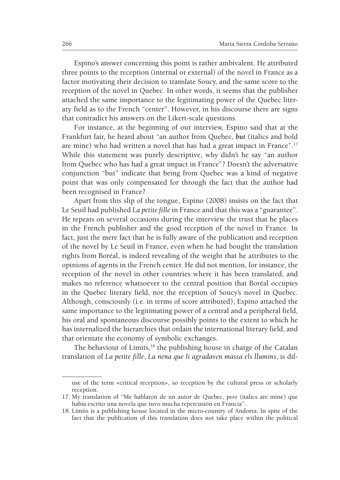Espino's answer concerning this point is rather ambivalent. He attributed three points to the reception (internal or external) of the novel in France as a factor motivating their decision to translate Soucy, and the same score to the reception of the novel in Quebec. In other words, it seems that the publisher attached the same importance to the legitimating power of the Quebec literary field as to the French "center". However, in his discourse there are signs that contradict his answers on the Likert-scale questions.

For instance, at the beginning of our interview, Espino said that at the Frankfurt fair, he heard about "an author from Quebec, *but* (italics and bold are mine) who had written a novel that has had a great impact in France".17 While this statement was purely descriptive, why didn't he say "an author from Quebec who has had a great impact in France"? Doesn't the adversative conjunction "but" indicate that being from Quebec was a kind of negative point that was only compensated for through the fact that the author had been recognised in France?

Apart from this slip of the tongue, Espino (2008) insists on the fact that Le Seuil had published *La petite fille* in France and that this was a "guarantee". He repeats on several occasions during the interview the trust that he places in the French publisher and the good reception of the novel in France. In fact, just the mere fact that he is fully aware of the publication and reception of the novel by Le Seuil in France, even when he had bought the translation rights from Boréal, is indeed revealing of the weight that he attributes to the opinions of agents in the French center. He did not mention, for instance, the reception of the novel in other countries where it has been translated, and makes no reference whatsoever to the central position that Boréal occupies in the Quebec literary field, nor the reception of Soucy's novel in Quebec. Although, consciously (i.e. in terms of score attributed), Espino attached the same importance to the legitimating power of a central and a peripheral field, his oral and spontaneous discourse possibly points to the extent to which he has internalized the hierarchies that ordain the international literary field, and that orientate the economy of symbolic exchanges.

The behaviour of Límits,<sup>18</sup> the publishing house in charge of the Catalan translation of *La petite fille*, *La nena que li agradaven massa els llumins*, is dif-

use of the term «critical reception», so reception by the cultural press or scholarly reception.

<sup>17.</sup> My translation of "Me hablaron de un autor de Quebec, *pero* (italics are mine) que había escrito una novela que tuvo mucha repercusión en Francia".

<sup>18.</sup> Límits is a publishing house located in the micro-country of Andorra. In spite of the fact that the publication of this translation does not take place within the political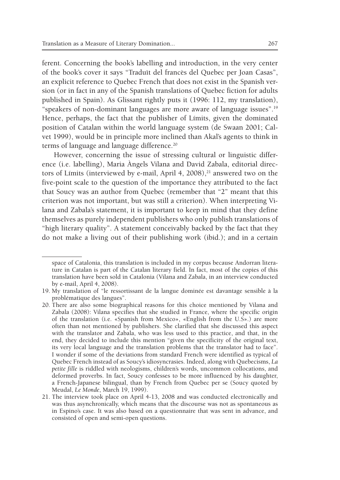ferent. Concerning the book's labelling and introduction, in the very center of the book's cover it says "Traduït del francès del Quebec per Joan Casas", an explicit reference to Quebec French that does not exist in the Spanish version (or in fact in any of the Spanish translations of Quebec fiction for adults published in Spain). As Glissant rightly puts it (1996: 112, my translation), "speakers of non-dominant languages are more aware of language issues".19 Hence, perhaps, the fact that the publisher of Límits, given the dominated position of Catalan within the world language system (de Swaan 2001; Calvet 1999), would be in principle more inclined than Akal's agents to think in terms of language and language difference.<sup>20</sup>

However, concerning the issue of stressing cultural or linguistic difference (i.e. labelling), Maria Àngels Vilana and David Zabala, editorial directors of Límits (interviewed by e-mail, April 4, 2008), $^{21}$  answered two on the five-point scale to the question of the importance they attributed to the fact that Soucy was an author from Quebec (remember that "2" meant that this criterion was not important, but was still a criterion). When interpreting Vilana and Zabala's statement, it is important to keep in mind that they define themselves as purely independent publishers who only publish translations of "high literary quality". A statement conceivably backed by the fact that they do not make a living out of their publishing work (ibid.); and in a certain

space of Catalonia, this translation is included in my corpus because Andorran literature in Catalan is part of the Catalan literary field. In fact, most of the copies of this translation have been sold in Catalonia (Vilana and Zabala, in an interview conducted by e-mail, April 4, 2008).

<sup>19.</sup> My translation of "le ressortissant de la langue dominée est davantage sensible à la problématique des langues".

<sup>20.</sup> There are also some biographical reasons for this choice mentioned by Vilana and Zabala (2008): Vilana specifies that she studied in France, where the specific origin of the translation (i.e. «Spanish from Mexico», «English from the U.S».) are more often than not mentioned by publishers. She clarified that she discussed this aspect with the translator and Zabala, who was less used to this practice, and that, in the end, they decided to include this mention "given the specificity of the original text, its very local language and the translation problems that the translator had to face". I wonder if some of the deviations from standard French were identified as typical of Quebec French instead of as Soucy's idiosyncrasies. Indeed, along with Quebecisms, *La petite fille* is riddled with neologisms, children's words, uncommon collocations, and deformed proverbs. In fact, Soucy confesses to be more influenced by his daughter, a French-Japanese bilingual, than by French from Quebec per se (Soucy quoted by Meudal, *Le Monde*, March 19, 1999).

<sup>21.</sup> The interview took place on April 4-13, 2008 and was conducted electronically and was thus asynchronically, which means that the discourse was not as spontaneous as in Espino's case. It was also based on a questionnaire that was sent in advance, and consisted of open and semi-open questions.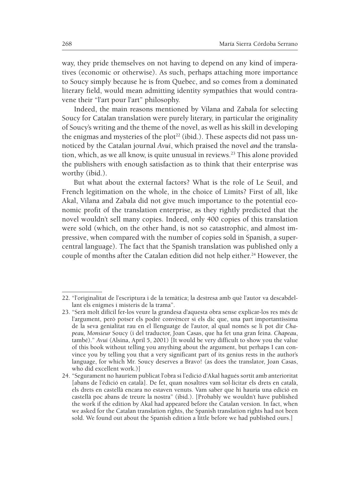way, they pride themselves on not having to depend on any kind of imperatives (economic or otherwise). As such, perhaps attaching more importance to Soucy simply because he is from Quebec, and so comes from a dominated literary field, would mean admitting identity sympathies that would contravene their "l'art pour l'art" philosophy.

Indeed, the main reasons mentioned by Vilana and Zabala for selecting Soucy for Catalan translation were purely literary, in particular the originality of Soucy's writing and the theme of the novel, as well as his skill in developing the enigmas and mysteries of the plot<sup>22</sup> (ibid.). These aspects did not pass unnoticed by the Catalan journal *Avui*, which praised the novel *and* the translation, which, as we all know, is quite unusual in reviews.<sup>23</sup> This alone provided the publishers with enough satisfaction as to think that their enterprise was worthy (ibid.).

But what about the external factors? What is the role of Le Seuil, and French legitimation on the whole, in the choice of Límits? First of all, like Akal, Vilana and Zabala did not give much importance to the potential economic profit of the translation enterprise, as they rightly predicted that the novel wouldn't sell many copies. Indeed, only 400 copies of this translation were sold (which, on the other hand, is not so catastrophic, and almost impressive, when compared with the number of copies sold in Spanish, a supercentral language). The fact that the Spanish translation was published only a couple of months after the Catalan edition did not help either.<sup>24</sup> However, the

<sup>22. &</sup>quot;l'originalitat de l'escriptura i de la temàtica; la destresa amb què l'autor va descabdellant els enigmes i misteris de la trama".

<sup>23. &</sup>quot;Serà molt difícil fer-los veure la grandesa d'aquesta obra sense explicar-los res més de l'argument, però potser els podré convèncer si els dic que, una part importantíssima de la seva genialitat rau en el llenguatge de l'autor, al qual només se li pot dir *Chapeau, Monsieur* Soucy (i del traductor, Joan Casas, que ha fet una gran feina. *Chapeau*, també)." *Avui* (Alsina, April 5, 2001) [It would be very difficult to show you the value of this book without telling you anything about the argument, but perhaps I can convince you by telling you that a very significant part of its genius rests in the author's language, for which Mr. Soucy deserves a Bravo! (as does the translator, Joan Casas, who did excellent work.)]

<sup>24. &</sup>quot;Segurament no hauríem publicat l'obra si l'edició d'Akal hagués sortit amb anterioritat [abans de l'édició en català]. De fet, quan nosaltres vam sol·licitar els drets en català, els drets en castellà encara no estaven venuts. Vam saber que hi hauria una edició en castellà poc abans de treure la nostra" (ibid.). [Probably we wouldn't have published the work if the edition by Akal had appeared before the Catalan version. In fact, when we asked for the Catalan translation rights, the Spanish translation rights had not been sold. We found out about the Spanish edition a little before we had published ours.]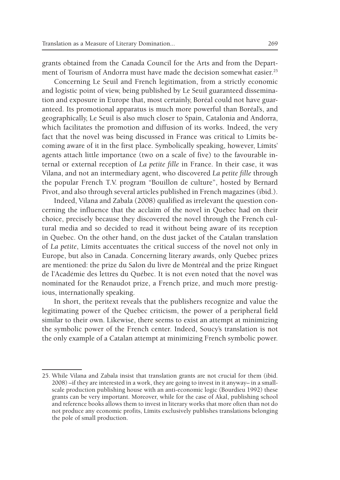grants obtained from the Canada Council for the Arts and from the Department of Tourism of Andorra must have made the decision somewhat easier.<sup>25</sup>

Concerning Le Seuil and French legitimation, from a strictly economic and logistic point of view, being published by Le Seuil guaranteed dissemination and exposure in Europe that, most certainly, Boréal could not have guaranteed. Its promotional apparatus is much more powerful than Boréal's, and geographically, Le Seuil is also much closer to Spain, Catalonia and Andorra, which facilitates the promotion and diffusion of its works. Indeed, the very fact that the novel was being discussed in France was critical to Límits becoming aware of it in the first place. Symbolically speaking, however, Límits' agents attach little importance (two on a scale of five) to the favourable internal or external reception of *La petite fille* in France. In their case, it was Vilana, and not an intermediary agent, who discovered *La petite fille* through the popular French T.V. program "Bouillon de culture", hosted by Bernard Pivot, and also through several articles published in French magazines (ibid.).

Indeed, Vilana and Zabala (2008) qualified as irrelevant the question concerning the influence that the acclaim of the novel in Quebec had on their choice, precisely because they discovered the novel through the French cultural media and so decided to read it without being aware of its reception in Quebec. On the other hand, on the dust jacket of the Catalan translation of *La petite*, Límits accentuates the critical success of the novel not only in Europe, but also in Canada. Concerning literary awards, only Quebec prizes are mentioned: the prize du Salon du livre de Montréal and the prize Ringuet de l'Académie des lettres du Québec. It is not even noted that the novel was nominated for the Renaudot prize, a French prize, and much more prestigious, internationally speaking.

In short, the peritext reveals that the publishers recognize and value the legitimating power of the Quebec criticism, the power of a peripheral field similar to their own. Likewise, there seems to exist an attempt at minimizing the symbolic power of the French center. Indeed, Soucy's translation is not the only example of a Catalan attempt at minimizing French symbolic power.

<sup>25.</sup> While Vilana and Zabala insist that translation grants are not crucial for them (ibid. 2008) –if they are interested in a work, they are going to invest in it anyway– in a smallscale production publishing house with an anti-economic logic (Bourdieu 1992) these grants can be very important. Moreover, while for the case of Akal, publishing school and reference books allows them to invest in literary works that more often than not do not produce any economic profits, Límits exclusively publishes translations belonging the pole of small production.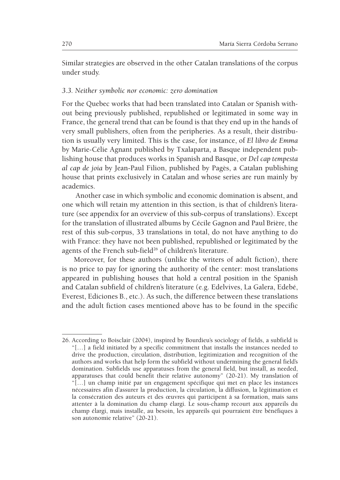Similar strategies are observed in the other Catalan translations of the corpus under study.

### *3.3. Neither symbolic nor economic: zero domination*

For the Quebec works that had been translated into Catalan or Spanish without being previously published, republished or legitimated in some way in France, the general trend that can be found is that they end up in the hands of very small publishers, often from the peripheries. As a result, their distribution is usually very limited. This is the case, for instance, of *El libro de Emma* by Marie-Célie Agnant published by Txalaparta, a Basque independent publishing house that produces works in Spanish and Basque, or *Del cap tempesta al cap de joia* by Jean-Paul Filion, published by Pagès, a Catalan publishing house that prints exclusively in Catalan and whose series are run mainly by academics.

 Another case in which symbolic and economic domination is absent, and one which will retain my attention in this section, is that of children's literature (see appendix for an overview of this sub-corpus of translations). Except for the translation of illustrated albums by Cécile Gagnon and Paul Brière, the rest of this sub-corpus, 33 translations in total, do not have anything to do with France: they have not been published, republished or legitimated by the agents of the French sub-field<sup>26</sup> of children's literature.

Moreover, for these authors (unlike the writers of adult fiction), there is no price to pay for ignoring the authority of the center: most translations appeared in publishing houses that hold a central position in the Spanish and Catalan subfield of children's literature (e.g. Edelvives, La Galera, Edebé, Everest, Ediciones B., etc.). As such, the difference between these translations and the adult fiction cases mentioned above has to be found in the specific

<sup>26.</sup> According to Boisclair (2004), inspired by Bourdieu's sociology of fields, a subfield is "[…] a field initiated by a specific commitment that installs the instances needed to drive the production, circulation, distribution, legitimization and recognition of the authors and works that help form the subfield without undermining the general field's domination. Subfields use apparatuses from the general field, but install, as needed, apparatuses that could benefit their relative autonomy" (20-21). My translation of "[…] un champ initié par un engagement spécifique qui met en place les instances nécessaires afin d'assurer la production, la circulation, la diffusion, la légitimation et la consécration des auteurs et des œuvres qui participent à sa formation, mais sans attenter à la domination du champ élargi. Le sous-champ recourt aux appareils du champ élargi, mais installe, au besoin, les appareils qui pourraient être bénéfiques à son autonomie relative" (20-21).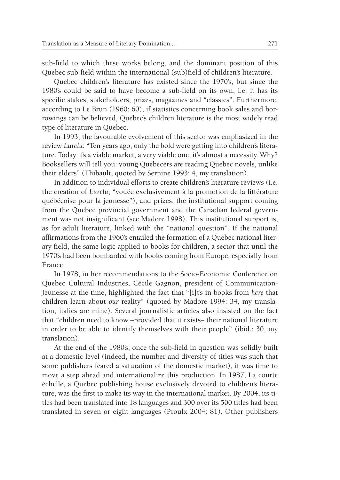sub-field to which these works belong, and the dominant position of this Quebec sub-field within the international (sub)field of children's literature.

Quebec children's literature has existed since the 1970's, but since the 1980's could be said to have become a sub-field on its own, i.e. it has its specific stakes, stakeholders, prizes, magazines and "classics". Furthermore, according to Le Brun (1960: 60), if statistics concerning book sales and borrowings can be believed, Quebec's children literature is the most widely read type of literature in Quebec.

In 1993, the favourable evolvement of this sector was emphasized in the review *Lurelu*: "Ten years ago, only the bold were getting into children's literature. Today it's a viable market, a very viable one, it's almost a necessity. Why? Booksellers will tell you: young Quebecers are reading Quebec novels, unlike their elders" (Thibault, quoted by Sernine 1993: 4, my translation).

In addition to individual efforts to create children's literature reviews (i.e. the creation of *Lurelu*, "vouée exclusivement à la promotion de la littérature québécoise pour la jeunesse"), and prizes, the institutional support coming from the Quebec provincial government and the Canadian federal government was not insignificant (see Madore 1998). This institutional support is, as for adult literature, linked with the "national question". If the national affirmations from the 1960's entailed the formation of a Quebec national literary field, the same logic applied to books for children, a sector that until the 1970's had been bombarded with books coming from Europe, especially from France.

In 1978, in her recommendations to the Socio-Economic Conference on Quebec Cultural Industries, Cécile Gagnon, president of Communication-Jeunesse at the time, highlighted the fact that "[i]t's in books from *here* that children learn about *our* reality" (quoted by Madore 1994: 34, my translation, italics are mine). Several journalistic articles also insisted on the fact that "children need to know –provided that it exists– their national literature in order to be able to identify themselves with their people" (ibid.: 30, my translation).

At the end of the 1980's, once the sub-field in question was solidly built at a domestic level (indeed, the number and diversity of titles was such that some publishers feared a saturation of the domestic market), it was time to move a step ahead and internationalize this production. In 1987, La courte échelle, a Quebec publishing house exclusively devoted to children's literature, was the first to make its way in the international market. By 2004, its titles had been translated into 18 languages and 300 over its 500 titles had been translated in seven or eight languages (Proulx 2004: 81). Other publishers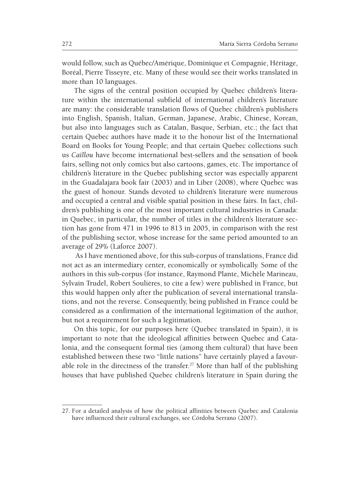would follow, such as Québec/Amérique, Dominique et Compagnie, Héritage, Boréal, Pierre Tisseyre, etc. Many of these would see their works translated in more than 10 languages.

The signs of the central position occupied by Quebec children's literature within the international subfield of international children's literature are many: the considerable translation flows of Quebec children's publishers into English, Spanish, Italian, German, Japanese, Arabic, Chinese, Korean, but also into languages such as Catalan, Basque, Serbian, etc.; the fact that certain Quebec authors have made it to the honour list of the International Board on Books for Young People; and that certain Quebec collections such us *Caillou* have become international best-sellers and the sensation of book fairs, selling not only comics but also cartoons, games, etc.The importance of children's literature in the Quebec publishing sector was especially apparent in the Guadalajara book fair (2003) and in Liber (2008), where Quebec was the guest of honour. Stands devoted to children's literature were numerous and occupied a central and visible spatial position in these fairs. In fact, children's publishing is one of the most important cultural industries in Canada: in Quebec, in particular, the number of titles in the children's literature section has gone from 471 in 1996 to 813 in 2005, in comparison with the rest of the publishing sector, whose increase for the same period amounted to an average of 29% (Laforce 2007).

 As I have mentioned above, for this sub-corpus of translations, France did not act as an intermediary center, economically or symbolically. Some of the authors in this sub-corpus (for instance, Raymond Plante, Michèle Marineau, Sylvain Trudel, Robert Soulières, to cite a few) were published in France, but this would happen only after the publication of several international translations, and not the reverse. Consequently, being published in France could be considered as a confirmation of the international legitimation of the author, but not a requirement for such a legitimation.

On this topic, for our purposes here (Quebec translated in Spain), it is important to note that the ideological affinities between Quebec and Catalonia, and the consequent formal ties (among them cultural) that have been established between these two "little nations" have certainly played a favourable role in the directness of the transfer.<sup>27</sup> More than half of the publishing houses that have published Quebec children's literature in Spain during the

<sup>27.</sup> For a detailed analysis of how the political affinities between Quebec and Catalonia have influenced their cultural exchanges, see Córdoba Serrano (2007).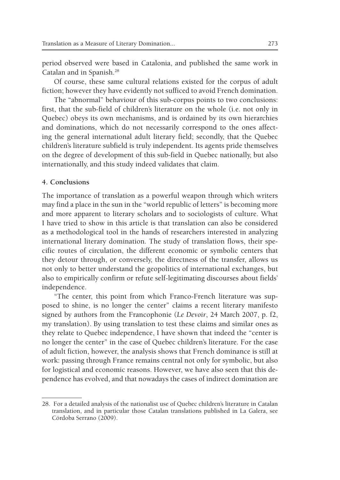period observed were based in Catalonia, and published the same work in Catalan and in Spanish.28

Of course, these same cultural relations existed for the corpus of adult fiction; however they have evidently not sufficed to avoid French domination.

The "abnormal" behaviour of this sub-corpus points to two conclusions: first, that the sub-field of children's literature on the whole (i.e. not only in Quebec) obeys its own mechanisms, and is ordained by its own hierarchies and dominations, which do not necessarily correspond to the ones affecting the general international adult literary field; secondly, that the Quebec children's literature subfield is truly independent. Its agents pride themselves on the degree of development of this sub-field in Quebec nationally, but also internationally, and this study indeed validates that claim.

### **4. Conclusions**

The importance of translation as a powerful weapon through which writers may find a place in the sun in the "world republic of letters" is becoming more and more apparent to literary scholars and to sociologists of culture. What I have tried to show in this article is that translation can also be considered as a methodological tool in the hands of researchers interested in analyzing international literary domination. The study of translation flows, their specific routes of circulation, the different economic or symbolic centers that they detour through, or conversely, the directness of the transfer, allows us not only to better understand the geopolitics of international exchanges, but also to empirically confirm or refute self-legitimating discourses about fields' independence.

"The center, this point from which Franco-French literature was supposed to shine, is no longer the center" claims a recent literary manifesto signed by authors from the Francophonie (*Le Devoir*, 24 March 2007, p. f2, my translation). By using translation to test these claims and similar ones as they relate to Quebec independence, I have shown that indeed the "center is no longer the center" in the case of Quebec children's literature. For the case of adult fiction, however, the analysis shows that French dominance is still at work: passing through France remains central not only for symbolic, but also for logistical and economic reasons. However, we have also seen that this dependence has evolved, and that nowadays the cases of indirect domination are

<sup>28.</sup> For a detailed analysis of the nationalist use of Quebec children's literature in Catalan translation, and in particular those Catalan translations published in La Galera, see Córdoba Serrano (2009).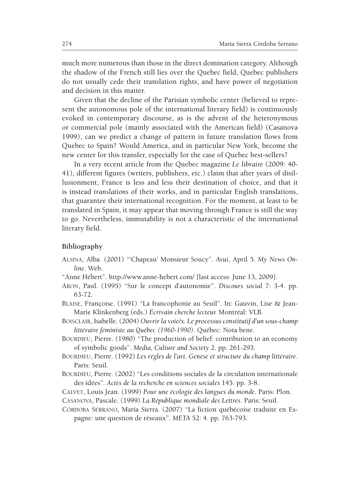much more numerous than those in the direct domination category. Although the shadow of the French still lies over the Quebec field, Quebec publishers do not usually cede their translation rights, and have power of negotiation and decision in this matter.

Given that the decline of the Parisian symbolic center (believed to represent the autonomous pole of the international literary field) is continuously evoked in contemporary discourse, as is the advent of the heteronymous or commercial pole (mainly associated with the American field) (Casanova 1999), can we predict a change of pattern in future translation flows from Quebec to Spain? Would America, and in particular New York, become the new center for this transfer, especially for the case of Quebec best-sellers?

In a very recent article from the Quebec magazine *Le libraire* (2009: 40- 41), different figures (writers, publishers, etc.) claim that after years of disillusionment, France is less and less their destination of choice, and that it is instead *translations* of their works, and in particular English translations, that guarantee their international recognition. For the moment, at least to be translated in Spain, it may appear that moving through France is still the way to go. Nevertheless, immutability is not a characteristic of the international literary field.

### **Bibliography**

- Alsina, Alba. (2001) "'Chapeau' Monsieur Soucy". *Avui*, April 5. *My News Online*. Web.
- "Anne Hébert". http://www.anne-hebert.com/ [last access: June 13, 2009].
- Aron, Paul. (1995) "Sur le concept d'autonomie". *Discours social* 7: 3-4. pp. 63-72.
- Blaise, Françoise. (1991) "La francophonie au Seuil". In: Gauvin, Lise & Jean-Marie Klinkenberg (eds.) *Écrivain cherche lecteur.* Montréal: VLB.
- Boisclair, Isabelle. (2004) *Ouvrir la voie/x. Le processus constitutif d'un sous-champ littéraire féministe au Québec (1960-1990)*. Québec: Nota bene.
- BOURDIEU, Pierre. (1980) "The production of belief: contribution to an economy of symbolic goods". *Media, Culture and Society* 2. pp. 261-293.
- BOURDIEU, Pierre. (1992) Les règles de l'art. Genèse et structure du champ littéraire. Paris: Seuil.
- BOURDIEU, Pierre. (2002) "Les conditions sociales de la circulation internationale des idées". *Actes de la recherche en sciences sociales* 145. pp. 3-8.
- Calvet, Louis Jean. (1999) *Pour une écologie des langues du monde*. Paris: Plon.
- Casanova, Pascale. (1999) *La République mondiale des Lettres*. Paris: Seuil.
- CÓRDOBA SERRANO, María Sierra. (2007) "La fiction québécoise traduite en Espagne: une question de réseaux". *META* 52: 4. pp. 763-793.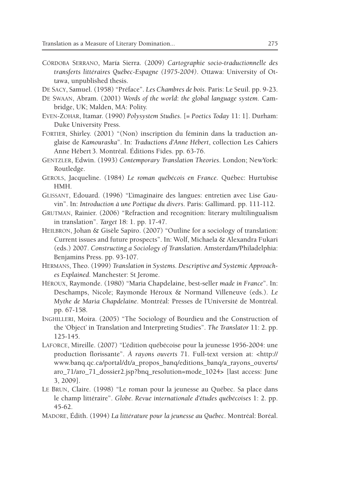- Córdoba Serrano, María Sierra. (2009) *Cartographie socio-traductionnelle des transferts littéraires Québec-Espagne (1975-2004)*. Ottawa: University of Ottawa, unpublished thesis.
- De Sacy, Samuel. (1958) "Préface". *Les Chambres de bois*. Paris: Le Seuil. pp. 9-23.
- De Swaan, Abram. (2001) *Words of the world*: *the global language system.* Cambridge, UK; Malden, MA: Polity.
- Even-Zohar, Itamar. (1990) *Polysystem Studies*. [= *Poetics Today* 11: 1]. Durham: Duke University Press.
- FORTIER, Shirley. (2001) "(Non) inscription du féminin dans la traduction anglaise de *Kamouraska*". In: *Traductions d'Anne Hébert*, collection Les Cahiers Anne Hébert 3. Montréal. Éditions Fides. pp. 63-76.
- Gentzler, Edwin. (1993) *Contemporary Translation Theories*. London; NewYork: Routledge.
- Gerols, Jacqueline. (1984) *Le roman québécois en France*. Québec: Hurtubise HMH.
- Glissant, Edouard. (1996) "L'imaginaire des langues: entretien avec Lise Gauvin". In: *Introduction à une Poétique du divers*. Paris: Gallimard. pp. 111-112.
- Grutman, Rainier. (2006) "Refraction and recognition: literary multilingualism in translation". *Target* 18: 1. pp. 17-47.
- HEILBRON, Johan & Gisèle Sapiro. (2007) "Outline for a sociology of translation: Current issues and future prospects". In: Wolf, Michaela & Alexandra Fukari (eds.) 2007. *Constructing a Sociology of Translation*. Amsterdam/Philadelphia: Benjamins Press. pp. 93-107.
- Hermans, Theo. (1999) *Translation in Systems. Descriptive and Systemic Approaches Explained.* Manchester: St Jerome.
- Héroux, Raymonde. (1980) "Maria Chapdelaine, best-seller *made in France*". In: Deschamps, Nicole; Raymonde Héroux & Normand Villeneuve (eds.). *Le Mythe de Maria Chapdelaine*. Montréal: Presses de l'Université de Montréal. pp. 67-158.
- Inghilleri, Moira. (2005) "The Sociology of Bourdieu and the Construction of the 'Object' in Translation and Interpreting Studies". *The Translator* 11: 2. pp. 125-145.
- Laforce, Mireille. (2007) "L'édition québécoise pour la jeunesse 1956-2004: une production florissante". *À rayons ouverts* 71. Full-text version at: <http:// www.banq.qc.ca/portal/dt/a\_propos\_banq/editions\_banq/a\_rayons\_ouverts/ aro\_71/aro\_71\_dossier2.jsp?bnq\_resolution=mode\_1024**>** [last access: June 3, 2009].
- Le Brun, Claire. (1998) "Le roman pour la jeunesse au Québec. Sa place dans le champ littéraire". *Globe. Revue internationale d'études québécoises* 1: 2. pp. 45-62.
- Madore, Édith. (1994) *La littérature pour la jeunesse au Québec*. Montréal: Boréal.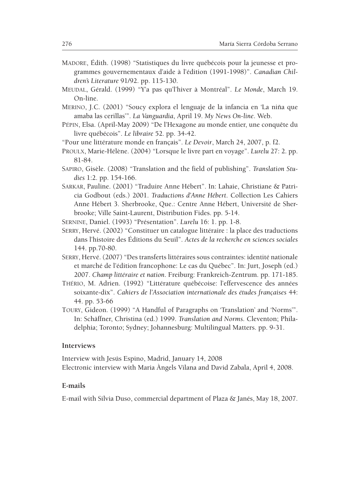- Madore, Édith. (1998) "Statistiques du livre québécois pour la jeunesse et programmes gouvernementaux d'aide à l'édition (1991-1998)". *Canadian Children's Literature* 91/92. pp. 115-130.
- Meudal, Gérald. (1999) "Y'a pas qu'l'hiver à Montréal". *Le Monde*, March 19. On-line.
- Merino, J.C. (2001) "Soucy explora el lenguaje de la infancia en 'La niña que amaba las cerillas'". *La Vanguardia*, April 19. *My News On-line*. Web.
- Pépin, Elsa. (April-May 2009) "De l'Hexagone au monde entier, une conquête du livre québécois". *Le libraire* 52. pp. 34-42.
- "Pour une littérature monde en français". *Le Devoir*, March 24, 2007, p. f2.
- Proulx, Marie-Hélène. (2004) "Lorsque le livre part en voyage". *Lurelu* 27: 2. pp. 81-84.
- Sapiro, Gisèle. (2008) "Translation and the field of publishing". *Translation Studies* 1:2. pp. 154-166.
- Sarkar, Pauline. (2001) "Traduire Anne Hébert". In: Lahaie, Christiane & Patricia Godbout (eds.) 2001. *Traductions d'Anne Hébert*. Collection Les Cahiers Anne Hébert 3. Sherbrooke, Que.: Centre Anne Hébert, Université de Sherbrooke; Ville Saint-Laurent, Distribution Fides. pp. 5-14.

Sernine, Daniel. (1993) "Présentation". *Lurelu* 16: 1. pp. 1-8.

- Serry, Hervé. (2002) "Constituer un catalogue littéraire : la place des traductions dans l'histoire des Éditions du Seuil". *Actes de la recherche en sciences sociales* 144. pp.70-80.
- Serry, Hervé. (2007) "Des transferts littéraires sous contraintes: identité nationale et marché de l'édition francophone: Le cas du Québec". In: Jurt, Joseph (ed.) 2007. *Champ littéraire et nation*. Freiburg: Frankreich-Zentrum. pp. 171-185.
- Thério, M. Adrien. (1992) "Littérature québécoise: l'effervescence des années soixante-dix". *Cahiers de l'Association internationale des études françaises* 44: 44. pp. 53-66
- Toury, Gideon. (1999) "A Handful of Paragraphs on 'Translation' and 'Norms'". In: Schäffner, Christina (ed.) 1999. *Translation and Norms*. Cleventon; Philadelphia; Toronto; Sydney; Johannesburg: Multilingual Matters. pp. 9-31.

#### **Interviews**

Interview with Jesús Espino, Madrid, January 14, 2008 Electronic interview with Maria Àngels Vilana and David Zabala, April 4, 2008.

### **E-mails**

E-mail with Silvia Duso, commercial department of Plaza & Janés, May 18, 2007.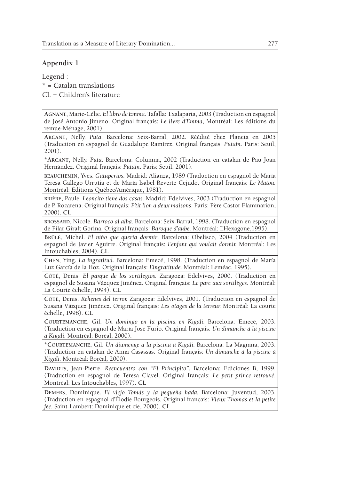## **Appendix 1**

Legend :  $*$  = Catalan translations  $CL = Children's literature$ 

**Agnant**, Marie-Célie. *El libro de Emma*. Tafalla: Txalaparta, 2003 (Traduction en espagnol de José Antonio Jimeno. Original français: *Le livre d'Emma*, Montréal: Les éditions du remue-Ménage, 2001).

**Arcant**, Nelly. *Puta*. Barcelona: Seix-Barral, 2002. Réédité chez Planeta en 2005 (Traduction en espagnol de Guadalupe Ramírez. Original français: *Putain*. Paris: Seuil, 2001).

\***Arcant**, Nelly. *Puta*. Barcelona: Columna, 2002 (Traduction en catalan de Pau Joan Hernàndez. Original français: *Putain*. Paris: Seuil, 2001).

**beauchemin**, Yves. *Gatuperios*. Madrid: Alianza, 1989 (Traduction en espagnol de María Teresa Gallego Urrutia et de María Isabel Reverte Cejudo. Original français: *Le Matou.*  Montréal: Éditions Québec/Amérique, 1981).

**brière**, Paule. *Leoncito tiene dos casas.* Madrid: Edelvives, 2003 (Traduction en espagnol de P. Rozarena. Original français: *P'tit lion a deux maisons*. Paris: Père Castor Flammarion, 2000). **CL**

**brossard**, Nicole. *Barroco al alba.* Barcelona: Seix-Barral, 1998. (Traduction en espagnol de Pilar Giralt Gorina. Original français: *Baroque d'aube.* Montréal: L'Hexagone,1995).

**Brûlé**, Michel. *El niño que quería dormir*. Barcelona: Obelisco, 2004 (Traduction en espagnol de Javier Aguirre. Original français: *L'enfant qui voulait dormir.* Montréal: Les Intouchables, 2004). **CL**

**Chen**, Ying. *La ingratitud.* Barcelona: Emecé, 1998. (Traduction en espagnol de María Luz García de la Hoz. Original français: *L'ingratitude.* Montréal: Leméac, 1995).

**Côté**, Denis. *El parque de los sortilegios.* Zaragoza: Edelvives, 2000. (Traduction en espagnol de Susana Vázquez Jiménez. Original français: *Le parc aux sortilèges.* Montréal: La Courte échelle, 1994). **CL**

**Côté**, Denis. *Rehenes del terror.* Zaragoza: Edelvives, 2001. (Traduction en espagnol de Susana Vázquez Jiménez. Original français: *Les otages de la terreur.* Montréal: La courte échelle, 1998). **CL**

**Courtemanche**, Gil. *Un domingo en la piscina en Kigali.* Barcelona: Emecé, 2003. (Traduction en espagnol de María José Furió. Original français: *Un dimanche à la piscine à Kigali.* Montréal: Boréal, 2000).

\***Courtemanche**, Gil. *Un diumenge a la piscina a Kigali.* Barcelona: La Magrana, 2003. (Traduction en catalan de Anna Casassas. Original français: *Un dimanche à la piscine à Kigali.* Montréal: Boréal*,* 2000).

**Davidts**, Jean-Pierre. *Reencuentro con "El Principito".* Barcelona: Ediciones B, 1999. (Traduction en espagnol de Teresa Clavel. Original français: *Le petit prince retrouvé.*  Montréal: Les Intouchables, 1997). **CL**

**Demers**, Dominique. *El viejo Tomás y la pequeña hada.* Barcelona: Juventud, 2003. (Traduction en espagnol d'Élodie Bourgeois. Original français: *Vieux Thomas et la petite fée.* Saint-Lambert: Dominique et cie, 2000). **CL**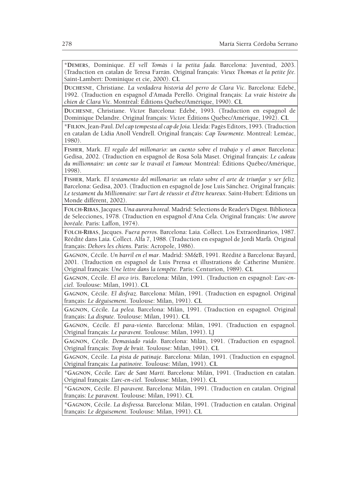\***Demers**, Dominique. *El vell Tomàs i la petita fada.* Barcelona: Juventud, 2003. (Traduction en catalan de Teresa Farrán. Original français: *Vieux Thomas et la petite fée.* Saint-Lambert: Dominique et cie, 2000). **CL**

**Duchesne**, Christiane. *La verdadera historia del perro de Clara Vic.* Barcelona: Edebé, 1992. (Traduction en espagnol d'Amada Perelló. Original français: *La vraie histoire du chien de Clara Vic.* Montréal: Éditions Québec/Amérique, 1990). **CL**

**Duchesne**, Christiane. *Víctor.* Barcelona: Edebé, 1993. (Traduction en espagnol de Dominique Delandre. Original français: *Victor.* Éditions Québec/Amérique, 1992). **CL**

\***Filion**, Jean-Paul. *Del cap tempesta al cap de Joia.* Lleida: Pagès Editors, 1993. (Traduction en catalan de Lídia Anoll Vendrell. Original français: *Cap Tourmente.* Montreal: Leméac, 1980).

**Fisher**, Mark. *El regalo del millonario: un cuento sobre el trabajo y el amor.* Barcelona: Gedisa, 2002. (Traduction en espagnol de Rosa Solà Maset. Original français: *Le cadeau du millionnaire: un conte sur le travail et l'amour.* Montréal: Éditions Québec/Amérique, 1998).

**Fisher**, Mark. *El testamento del millonario: un relato sobre el arte de triunfar y ser feliz.* Barcelona: Gedisa, 2003. (Traduction en espagnol de Jose Luis Sánchez. Original français: *Le testament du Millionnaire: sur l'art de réussir et d'être heureux*. Saint-Hubert: Éditions un Monde différent, 2002).

**Folch-Ribas**, Jacques. *Una aurora boreal.* Madrid: Selections de Reader's Digest. Biblioteca de Selecciones, 1978. (Traduction en espagnol d'Ana Cela. Original français: *Une aurore boréale.* Paris: Laffon, 1974).

**Folch-Ribas**, Jacques. *Fuera perros.* Barcelona: Laia. Collect. Los Extraordinarios, 1987. Réédité dans Laia. Collect. Alfa 7, 1988. (Traduction en espagnol de Jordi Marfà. Original français: *Dehors les chiens.* Paris: Acropole, 1986).

**Gagnon**, Cécile. *Un barril en el mar*. Madrid: SM&B, 1991. Réédité à Barcelona: Bayard, 2001. (Traduction en espagnol de Luis Prensa et illustrations de Catherine Munière. Original français: *Une lettre dans la tempête.* Paris: Centurion, 1989). **CL**

**Gagnon**, Cécile. *El arco iris*. Barcelona: Milán, 1991. (Traduction en espagnol: *L'arc-enciel.* Toulouse: Milan, 1991). **CL**

**Gagnon**, Cécile. *El disfraz.* Barcelona: Milán, 1991. (Traduction en espagnol. Original français: *Le déguisement*. Toulouse: Milan, 1991). **CL**

**Gagnon**, Cécile. *La pelea.* Barcelona: Milán, 1991. (Traduction en espagnol. Original français: *La dispute.* Toulouse: Milan, 1991). **CL**

**Gagnon**, Cécile. *El para-viento.* Barcelona: Milán, 1991. (Traduction en espagnol. Original français: *Le paravent.* Toulouse: Milan, 1991). LJ

**Gagnon**, Cécile. *Demasiado ruido*. Barcelona: Milán, 1991. (Traduction en espagnol. Original français: *Trop de bruit.* Toulouse: Milan, 1991). **CL**

**Gagnon**, Cécile. *La pista de patinaje.* Barcelona: Milán, 1991. (Traduction en espagnol. Original français: *La patinoire.* Toulouse: Milan, 1991). **CL**

\***Gagnon**, Cécile. *L'arc de Sant Martí.* Barcelona: Milán, 1991. (Traduction en catalan. Original français: *L'arc-en-ciel*. Toulouse: Milan, 1991). **CL**

\***Gagnon**, Cécile. *El paravent*. Barcelona: Milán, 1991. (Traduction en catalan. Original français: *Le paravent.* Toulouse: Milan, 1991). **CL**

\***Gagnon**, Cécile. *La disfressa.* Barcelona: Milán, 1991. (Traduction en catalan. Original français: *Le déguisement.* Toulouse: Milan, 1991). **CL**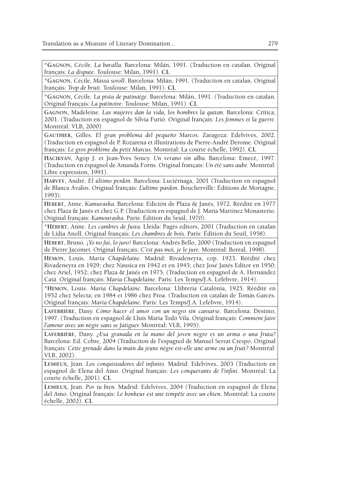\***Gagnon**, Cécile. *La baralla.* Barcelona: Milán, 1991. (Traduction en catalan. Original français: *La dispute.* Toulouse: Milan, 1991). **CL**

\***Gagnon**, Cécile. *Massa soroll.* Barcelona: Milán, 1991. (Traduction en catalan. Original français: *Trop de bruit.* Toulouse: Milan, 1991). **CL**

\***Gagnon**, Cécile. *La pista de patinatge.* Barcelona: Milán, 1991. (Traduction en catalan. Original français: *La patinoire.* Toulouse: Milan, 1991). **CL**

**Gagnon**, Madeleine. *Las mujeres dan la vida, los hombres la quitan.* Barcelona: Crítica, 2001. (Traduction en espagnol de Silvia Furió. Original français: *Les femmes et la guerre.*  Montréal: VLB, 2000).

**Gauthier**, Gilles. *El gran problema del pequeño Marcos*. Zaragoza: Edelvives, 2002. (Traduction en espagnol de P. Rozarena et illustrations de Pierre-André Derome. Original français: *Le gros problème du petit Marcus.* Montréal: La courte échelle, 1992). **CL**

**Hacikyan**, Agop J. et Jean-Yves Soucy. *Un verano sin alba.* Barcelona: Emecé, 1997. (Traduction en espagnol de Amanda Forns. Original français: *Un été sans aube.* Montréal: Libre expression, 1991).

**Harvey**, André. *El último perdón.* Barcelona: Luciérnaga, 2001 (Traduction en espagnol de Blanca Ávalos. Original français: *L'ultime pardon*. Boucherville: Éditions de Mortagne, 1993).

**Hebert**, Anne. *Kamuraska.* Barcelona: Edición de Plaza & Janés, 1972. Réédité en 1977 chez Plaza & Janés et chez G.P. (Traduction en espagnol de J. María Martinez Monasterio. Original français: *Kamouraska*. Paris: Édition du Seuil, 1970).

\***Hébert**, Anne. *Les cambres de fusta.* Lleida: Pagès editors, 2001 (Traduction en catalan de Lídia Anoll. Original français: *Les chambres de bois.* Paris: Édition du Seuil, 1958).

**Hébert**, Bruno. ¡*Yo no fui, lo juro!* Barcelona: Andrés Bello, 2000 (Traduction en espagnol de Pierre Jacomet. Original français: *C'est pas moi, je le jure.* Montréal: Boréal, 1998).

**Hémon**, Louis. *María Chapdelaine.* Madrid: Rivadeneyra, cop. 1923. Réédité chez Rivadeneyra en 1929; chez Nausica en 1942 et en 1945; chez José Janés Editor en 1950; chez Ariel, 1952; chez Plaza & Janés en 1975. (Traduction en espagnol de A. Hernández Catá. Original français: *Maria Chapdelaine.* Paris: Les Temps/J.A. Lefebvre, 1914).

\***Hémon**, Louis. *Maria Chapdelaine*. Barcelona: Llibreria Catalònia, 1925. Réédité en 1952 chez Selecta; en 1984 et 1986 chez Proa. (Traduction en catalan de Tomàs Garcés. Original français: *Maria Chapdelaine.* Paris: Les Temps/J.A. Lefebvre, 1914).

**Laferrière**, Dany. *Cómo hacer el amor con un negro sin cansarse.* Barcelona: Destino, 1997. (Traduction en espagnol de Lluís Maria Todó Vila. Original français: *Comment faire l'amour avec un nègre sans se fatiguer.* Montréal: VLB, 1995).

**Laferrière**, Dany. *¿Esa granada en la mano del joven negro es un arma o una fruta?* Barcelona: Ed. Cobre, 2004 (Traduction de l'espagnol de Manuel Serrat Crespo. Original français: *Cette grenade dans la main du jeune nègre est-elle une arme ou un fruit?* Montréal: VLB, 2002).

**Lemieux**, Jean. *Los conquistadores del infinito.* Madrid: Edelvives, 2003 (Traduction en espagnol de Elena del Amo. Original français: *Les conquérants de l'infini*. Montréal: La courte échelle, 2001). **CL**

**Lemieux**, Jean. *Por tu bien.* Madrid: Edelvives, 2004 (Traduction en espagnol de Elena del Amo. Original français: *Le bonheur est une tempête avec un chien.* Montréal: La courte échelle, 2002). **CL**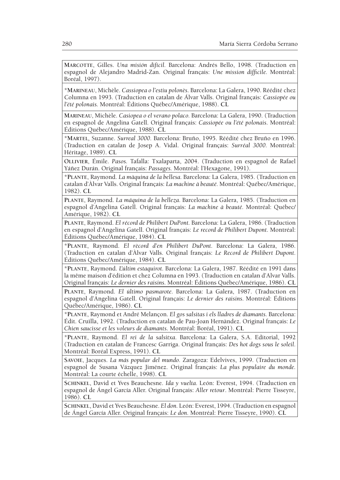**Marcotte**, Gilles. *Una misión difícil.* Barcelona: Andrés Bello, 1998. (Traduction en espagnol de Alejandro Madrid-Zan. Original français: *Une mission difficile.* Montréal: Boréal, 1997).

\***Marineau**, Michèle. *Cassiopea o l'estiu polonès*. Barcelona: La Galera, 1990. Réédité chez Columna en 1993. (Traduction en catalan de Álvar Valls. Original français: *Cassiopée ou l'été polonais.* Montréal: Éditions Québec/Amérique, 1988). **CL**

**Marineau**, Michèle. *Casiopea o el verano polaco.* Barcelona: La Galera, 1990. (Traduction en espagnol de Angelina Gatell. Original français: *Cassiopée ou l'été polonais*. Montréal: Éditions Québec/Amérique, 1988). **CL**

\***Martel***,* Suzanne. *Surreal 3000.* Barcelona: Bruño, 1995. Réédité chez Bruño en 1996. (Traduction en catalan de Josep A. Vidal. Original français: *Surréal 3000.* Montréal: Héritage, 1989). **CL**

**Ollivier**, Émile. *Pasos.* Tafalla: Txalaparta, 2004. (Traduction en espagnol de Rafael Yáñez Durán. Original français: *Passages.* Montréal: l'Hexagone, 1991).

\***Plante**, Raymond. *La màquina de la bellesa.* Barcelona: La Galera, 1985. (Traduction en catalan d'Àlvar Valls. Original français: *La machine à beauté.* Montréal: Québec/Amérique, 1982). **CL**

**Plante**, Raymond. *La máquina de la belleza.* Barcelona: La Galera, 1985. (Traduction en espagnol d'Angelina Gatell. Original français: *La machine à beauté.* Montréal: Québec/ Amérique, 1982). **CL**

**Plante**, Raymond. *El récord de Philibert DuPont.* Barcelona: La Galera, 1986. (Traduction en espagnol d'Angelina Gatell. Original français: *Le record de Philibert Dupont*. Montréal: Éditions Québec/Amérique, 1984). **CL**

\***Plante**, Raymond. *El rècord d'en Philibert DuPont.* Barcelona: La Galera, 1986*.* (Traduction en catalan d'Àlvar Valls. Original français: *Le Record de Philibert Dupont.*  Éditions Québec/Amérique, 1984). **CL**

\***Plante**, Raymond. *L'últim estaquirot.* Barcelona: La Galera, 1987. Réédité en 1991 dans la même maison d'édition et chez Columna en 1993. (Traduction en catalan d'Alvar Valls. Original français: *Le dernier des raisins.* Montréal: Éditions Québec/Amérique, 1986). **CL**

**Plante**, Raymond. *El último pasmarote.* Barcelona: La Galera, 1987. (Traduction en espagnol d'Angelina Gatell. Original français: *Le dernier des raisins.* Montréal: Éditions Québec/Amérique, 1986). **CL**

\***Plante**, Raymond et André Melançon. *El gos salsitas i els lladres de diamants.* Barcelona: Édit. Cruïlla, 1992. (Traduction en catalan de Pau-Joan Hernàndez. Original français: *Le Chien saucisse et les voleurs de diamants*. Montréal: Boréal, 1991). **CL**

\***Plante**, Raymond. *El rei de la salsitxa*. Barcelona: La Galera, S.A. Editorial, 1992 (Traduction en catalan de Francesc Garriga. Original français: *Des hot dogs sous le soleil.*  Montréal: Boréal Express, 1991). **CL**

**Savoie**, Jacques. *La más popular del mundo.* Zaragoza: Edelvives, 1999. (Traduction en espagnol de Susana Vázquez Jiménez. Original français: *La plus populaire du monde.*  Montréal: La courte échelle, 1998). **CL**

**Schinkel**, David et Yves Beauchesne. *Ida y vuelta.* León: Everest, 1994. (Traduction en espagnol de Ángel García Aller. Original français: *Aller retour*. Montréal: Pierre Tisseyre, 1986). **CL**

**Schinkel**, David et Yves Beauchesne. *El don.* León: Everest, 1994. (Traduction en espagnol de Ángel García Aller. Original français: *Le don.* Montréal: Pierre Tisseyre, 1990). **CL**